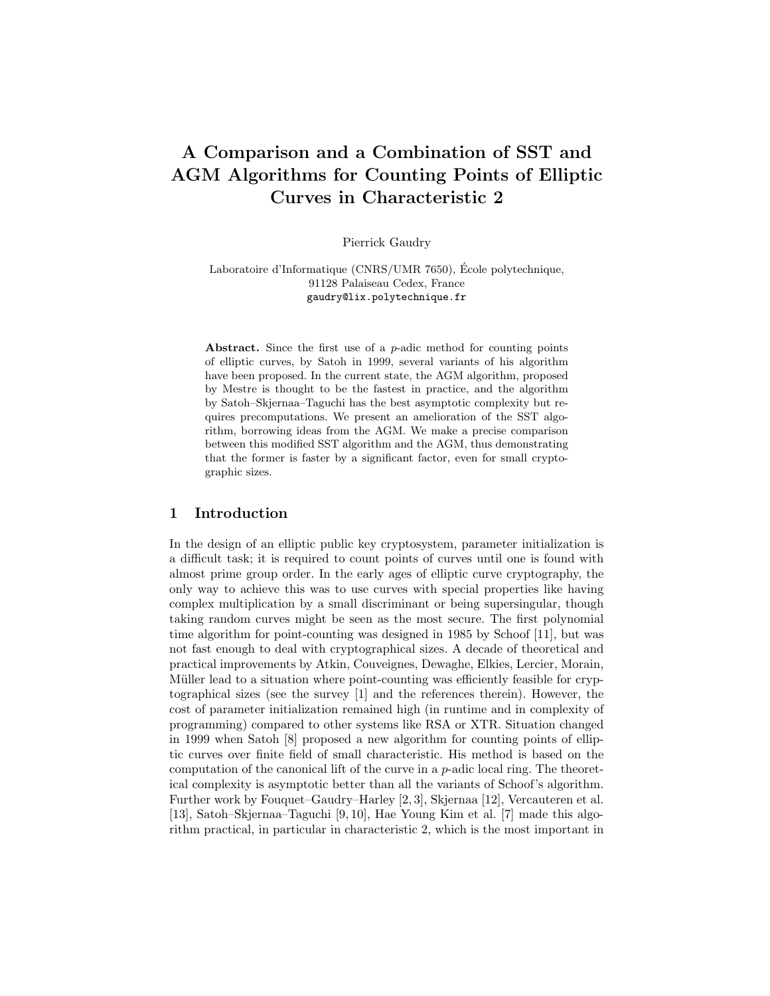# A Comparison and a Combination of SST and AGM Algorithms for Counting Points of Elliptic Curves in Characteristic 2

Pierrick Gaudry

Laboratoire d'Informatique (CNRS/UMR 7650), École polytechnique, 91128 Palaiseau Cedex, France gaudry@lix.polytechnique.fr

Abstract. Since the first use of a *p*-adic method for counting points of elliptic curves, by Satoh in 1999, several variants of his algorithm have been proposed. In the current state, the AGM algorithm, proposed by Mestre is thought to be the fastest in practice, and the algorithm by Satoh–Skjernaa–Taguchi has the best asymptotic complexity but requires precomputations. We present an amelioration of the SST algorithm, borrowing ideas from the AGM. We make a precise comparison between this modified SST algorithm and the AGM, thus demonstrating that the former is faster by a significant factor, even for small cryptographic sizes.

## 1 Introduction

In the design of an elliptic public key cryptosystem, parameter initialization is a difficult task; it is required to count points of curves until one is found with almost prime group order. In the early ages of elliptic curve cryptography, the only way to achieve this was to use curves with special properties like having complex multiplication by a small discriminant or being supersingular, though taking random curves might be seen as the most secure. The first polynomial time algorithm for point-counting was designed in 1985 by Schoof [11], but was not fast enough to deal with cryptographical sizes. A decade of theoretical and practical improvements by Atkin, Couveignes, Dewaghe, Elkies, Lercier, Morain, Müller lead to a situation where point-counting was efficiently feasible for cryptographical sizes (see the survey [1] and the references therein). However, the cost of parameter initialization remained high (in runtime and in complexity of programming) compared to other systems like RSA or XTR. Situation changed in 1999 when Satoh [8] proposed a new algorithm for counting points of elliptic curves over finite field of small characteristic. His method is based on the computation of the canonical lift of the curve in a  $p$ -adic local ring. The theoretical complexity is asymptotic better than all the variants of Schoof's algorithm. Further work by Fouquet–Gaudry–Harley [2, 3], Skjernaa [12], Vercauteren et al. [13], Satoh–Skjernaa–Taguchi [9, 10], Hae Young Kim et al. [7] made this algorithm practical, in particular in characteristic 2, which is the most important in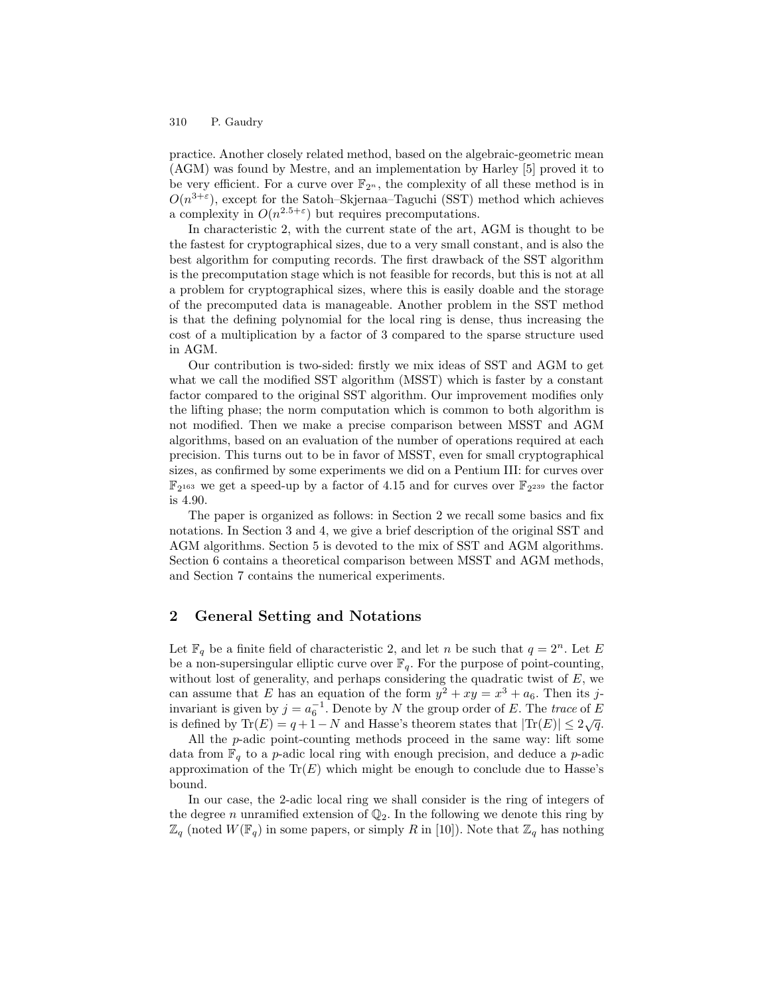practice. Another closely related method, based on the algebraic-geometric mean (AGM) was found by Mestre, and an implementation by Harley [5] proved it to be very efficient. For a curve over  $\mathbb{F}_{2^n}$ , the complexity of all these method is in  $O(n^{3+\epsilon})$ , except for the Satoh–Skjernaa–Taguchi (SST) method which achieves a complexity in  $O(n^{2.5+\epsilon})$  but requires precomputations.

In characteristic 2, with the current state of the art, AGM is thought to be the fastest for cryptographical sizes, due to a very small constant, and is also the best algorithm for computing records. The first drawback of the SST algorithm is the precomputation stage which is not feasible for records, but this is not at all a problem for cryptographical sizes, where this is easily doable and the storage of the precomputed data is manageable. Another problem in the SST method is that the defining polynomial for the local ring is dense, thus increasing the cost of a multiplication by a factor of 3 compared to the sparse structure used in AGM.

Our contribution is two-sided: firstly we mix ideas of SST and AGM to get what we call the modified SST algorithm (MSST) which is faster by a constant factor compared to the original SST algorithm. Our improvement modifies only the lifting phase; the norm computation which is common to both algorithm is not modified. Then we make a precise comparison between MSST and AGM algorithms, based on an evaluation of the number of operations required at each precision. This turns out to be in favor of MSST, even for small cryptographical sizes, as confirmed by some experiments we did on a Pentium III: for curves over  $\mathbb{F}_2$ <sup>163</sup> we get a speed-up by a factor of 4.15 and for curves over  $\mathbb{F}_2$ <sup>239</sup> the factor is 4.90.

The paper is organized as follows: in Section 2 we recall some basics and fix notations. In Section 3 and 4, we give a brief description of the original SST and AGM algorithms. Section 5 is devoted to the mix of SST and AGM algorithms. Section 6 contains a theoretical comparison between MSST and AGM methods, and Section 7 contains the numerical experiments.

# 2 General Setting and Notations

Let  $\mathbb{F}_q$  be a finite field of characteristic 2, and let n be such that  $q = 2^n$ . Let E be a non-supersingular elliptic curve over  $\mathbb{F}_q$ . For the purpose of point-counting, without lost of generality, and perhaps considering the quadratic twist of  $E$ , we can assume that E has an equation of the form  $y^2 + xy = x^3 + a_6$ . Then its jinvariant is given by  $j = a_6^{-1}$ . Denote by N the group order of E. The trace of E is defined by  $\text{Tr}(E) = q + 1 - N$  and Hasse's theorem states that  $|\text{Tr}(E)| \leq 2\sqrt{q}$ .

All the  $p$ -adic point-counting methods proceed in the same way: lift some data from  $\mathbb{F}_q$  to a p-adic local ring with enough precision, and deduce a p-adic approximation of the  $\text{Tr}(E)$  which might be enough to conclude due to Hasse's bound.

In our case, the 2-adic local ring we shall consider is the ring of integers of the degree n unramified extension of  $\mathbb{Q}_2$ . In the following we denote this ring by  $\mathbb{Z}_q$  (noted  $W(\mathbb{F}_q)$  in some papers, or simply R in [10]). Note that  $\mathbb{Z}_q$  has nothing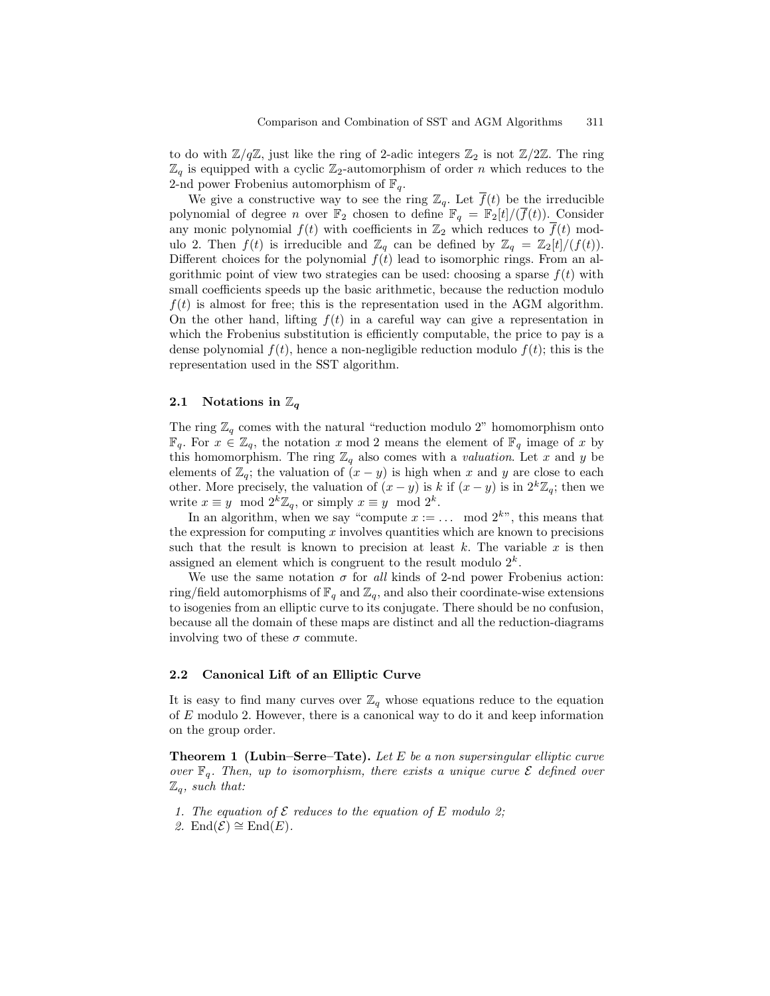to do with  $\mathbb{Z}/q\mathbb{Z}$ , just like the ring of 2-adic integers  $\mathbb{Z}_2$  is not  $\mathbb{Z}/2\mathbb{Z}$ . The ring  $\mathbb{Z}_q$  is equipped with a cyclic  $\mathbb{Z}_2$ -automorphism of order n which reduces to the 2-nd power Frobenius automorphism of  $\mathbb{F}_q$ .

We give a constructive way to see the ring  $\mathbb{Z}_q$ . Let  $\overline{f}(t)$  be the irreducible polynomial of degree *n* over  $\mathbb{F}_2$  chosen to define  $\mathbb{F}_q = \mathbb{F}_2[t]/(\overline{f}(t))$ . Consider any monic polynomial  $f(t)$  with coefficients in  $\mathbb{Z}_2$  which reduces to  $\overline{f}(t)$  modulo 2. Then  $f(t)$  is irreducible and  $\mathbb{Z}_q$  can be defined by  $\mathbb{Z}_q = \mathbb{Z}_2[t]/(f(t))$ . Different choices for the polynomial  $f(t)$  lead to isomorphic rings. From an algorithmic point of view two strategies can be used: choosing a sparse  $f(t)$  with small coefficients speeds up the basic arithmetic, because the reduction modulo  $f(t)$  is almost for free; this is the representation used in the AGM algorithm. On the other hand, lifting  $f(t)$  in a careful way can give a representation in which the Frobenius substitution is efficiently computable, the price to pay is a dense polynomial  $f(t)$ , hence a non-negligible reduction modulo  $f(t)$ ; this is the representation used in the SST algorithm.

## 2.1 Notations in  $\mathbb{Z}_q$

The ring  $\mathbb{Z}_q$  comes with the natural "reduction modulo 2" homomorphism onto  $\mathbb{F}_q$ . For  $x \in \mathbb{Z}_q$ , the notation x mod 2 means the element of  $\mathbb{F}_q$  image of x by this homomorphism. The ring  $\mathbb{Z}_q$  also comes with a *valuation*. Let x and y be elements of  $\mathbb{Z}_q$ ; the valuation of  $(x - y)$  is high when x and y are close to each other. More precisely, the valuation of  $(x - y)$  is k if  $(x - y)$  is in  $2^k \mathbb{Z}_q$ ; then we write  $x \equiv y \mod 2^k \mathbb{Z}_q$ , or simply  $x \equiv y \mod 2^k$ .

In an algorithm, when we say "compute  $x := \dots$  mod  $2^{k}$ ", this means that the expression for computing  $x$  involves quantities which are known to precisions such that the result is known to precision at least  $k$ . The variable  $x$  is then assigned an element which is congruent to the result modulo  $2<sup>k</sup>$ .

We use the same notation  $\sigma$  for all kinds of 2-nd power Frobenius action: ring/field automorphisms of  $\mathbb{F}_q$  and  $\mathbb{Z}_q$ , and also their coordinate-wise extensions to isogenies from an elliptic curve to its conjugate. There should be no confusion, because all the domain of these maps are distinct and all the reduction-diagrams involving two of these  $\sigma$  commute.

#### 2.2 Canonical Lift of an Elliptic Curve

It is easy to find many curves over  $\mathbb{Z}_q$  whose equations reduce to the equation of E modulo 2. However, there is a canonical way to do it and keep information on the group order.

**Theorem 1 (Lubin–Serre–Tate).** Let  $E$  be a non supersingular elliptic curve over  $\mathbb{F}_q$ . Then, up to isomorphism, there exists a unique curve  $\mathcal E$  defined over  $\mathbb{Z}_q$ , such that:

- 1. The equation of  $\mathcal E$  reduces to the equation of E modulo 2;
- 2. End $(\mathcal{E}) \cong$  End $(E)$ .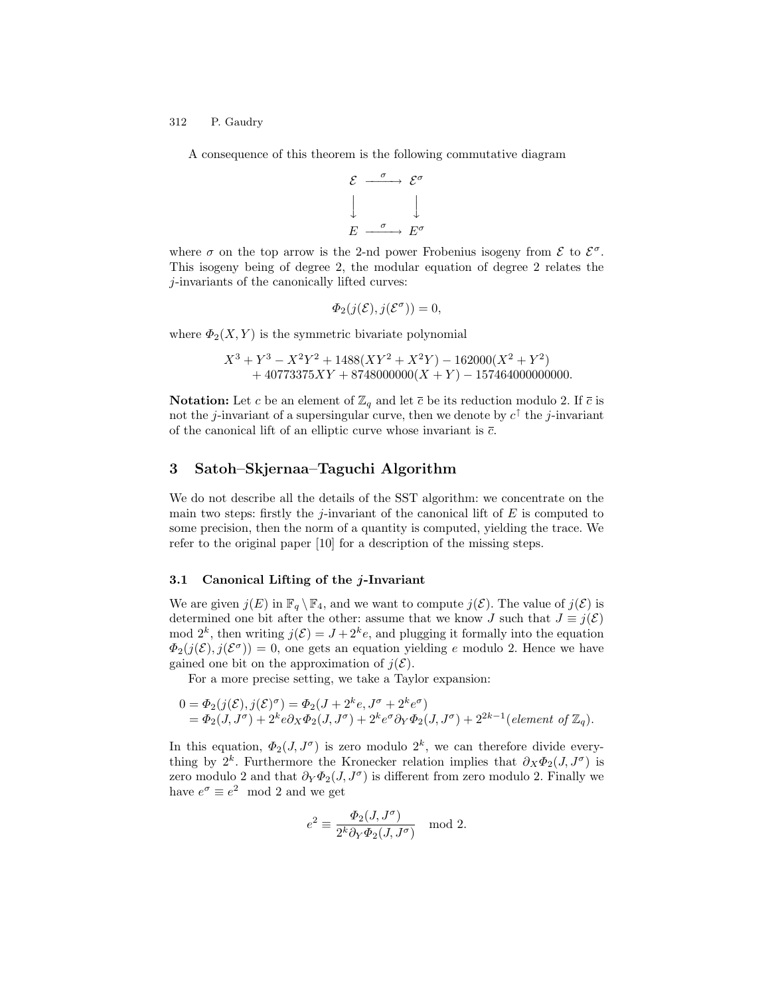A consequence of this theorem is the following commutative diagram

$$
\begin{array}{ccc}\n\mathcal{E} & \xrightarrow{\sigma} & \mathcal{E}^{\sigma} \\
\downarrow & & \downarrow \\
E & \xrightarrow{\sigma} & E^{\sigma}\n\end{array}
$$

where  $\sigma$  on the top arrow is the 2-nd power Frobenius isogeny from  $\mathcal{E}$  to  $\mathcal{E}^{\sigma}$ . This isogeny being of degree 2, the modular equation of degree 2 relates the j-invariants of the canonically lifted curves:

$$
\Phi_2(j(\mathcal{E}), j(\mathcal{E}^{\sigma})) = 0,
$$

where  $\Phi_2(X, Y)$  is the symmetric bivariate polynomial

$$
X^3 + Y^3 - X^2Y^2 + 1488(XY^2 + X^2Y) - 162000(X^2 + Y^2)
$$
  
+ 40773375XY + 8748000000(X + Y) - 157464000000000.

**Notation:** Let c be an element of  $\mathbb{Z}_q$  and let  $\bar{c}$  be its reduction modulo 2. If  $\bar{c}$  is not the *j*-invariant of a supersingular curve, then we denote by  $c^{\dagger}$  the *j*-invariant of the canonical lift of an elliptic curve whose invariant is  $\overline{c}$ .

## 3 Satoh–Skjernaa–Taguchi Algorithm

We do not describe all the details of the SST algorithm: we concentrate on the main two steps: firstly the j-invariant of the canonical lift of  $E$  is computed to some precision, then the norm of a quantity is computed, yielding the trace. We refer to the original paper [10] for a description of the missing steps.

#### 3.1 Canonical Lifting of the j-Invariant

We are given  $j(E)$  in  $\mathbb{F}_q \setminus \mathbb{F}_4$ , and we want to compute  $j(\mathcal{E})$ . The value of  $j(\mathcal{E})$  is determined one bit after the other: assume that we know J such that  $J \equiv j(\mathcal{E})$ mod  $2^k$ , then writing  $j(\mathcal{E}) = J + 2^k e$ , and plugging it formally into the equation  $\Phi_2(j(\mathcal{E}), j(\mathcal{E}^{\sigma})) = 0$ , one gets an equation yielding e modulo 2. Hence we have gained one bit on the approximation of  $j(\mathcal{E})$ .

For a more precise setting, we take a Taylor expansion:

$$
0 = \Phi_2(j(\mathcal{E}), j(\mathcal{E})^{\sigma}) = \Phi_2(J + 2^k e, J^{\sigma} + 2^k e^{\sigma})
$$
  
=  $\Phi_2(J, J^{\sigma}) + 2^k e \partial_X \Phi_2(J, J^{\sigma}) + 2^k e^{\sigma} \partial_Y \Phi_2(J, J^{\sigma}) + 2^{2k-1} (element of \mathbb{Z}_q).$ 

In this equation,  $\Phi_2(J, J^{\sigma})$  is zero modulo  $2^k$ , we can therefore divide everything by 2<sup>k</sup>. Furthermore the Kronecker relation implies that  $\partial_X \Phi_2(J, J^{\sigma})$  is zero modulo 2 and that  $\partial_Y \Phi_2(J, J^{\sigma})$  is different from zero modulo 2. Finally we have  $e^{\sigma} \equiv e^2 \mod 2$  and we get

$$
e^2 \equiv \frac{\varPhi_2(J,J^\sigma)}{2^k \partial_Y \varPhi_2(J,J^\sigma)} \mod 2.
$$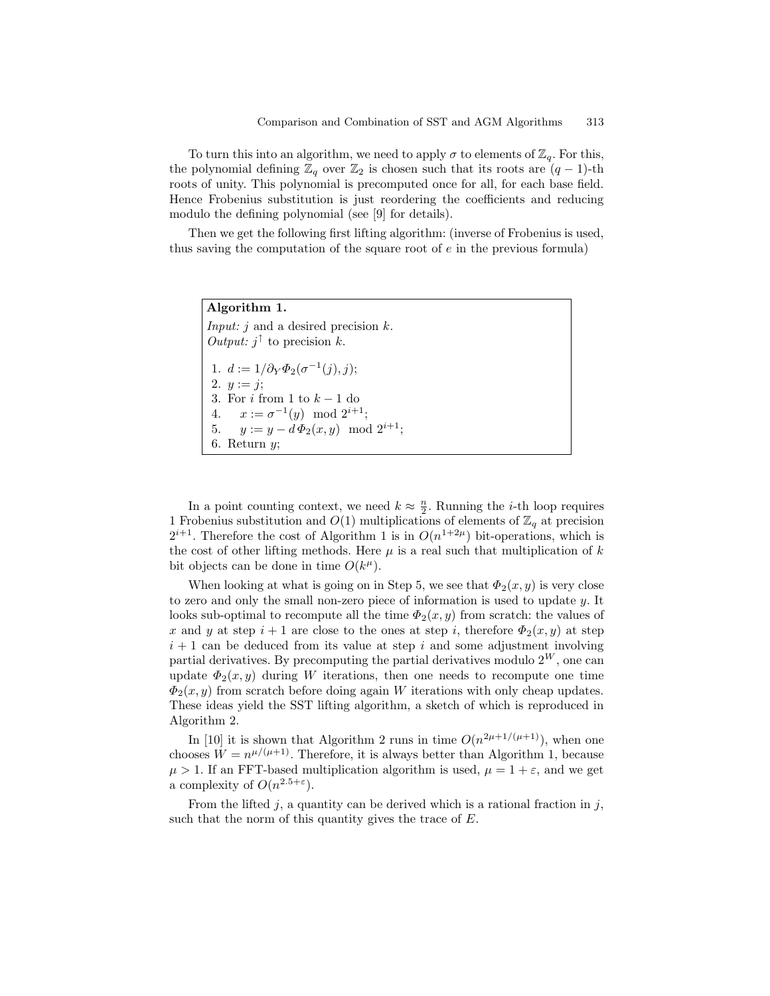To turn this into an algorithm, we need to apply  $\sigma$  to elements of  $\mathbb{Z}_q$ . For this, the polynomial defining  $\mathbb{Z}_q$  over  $\mathbb{Z}_2$  is chosen such that its roots are  $(q-1)$ -th roots of unity. This polynomial is precomputed once for all, for each base field. Hence Frobenius substitution is just reordering the coefficients and reducing modulo the defining polynomial (see [9] for details).

Then we get the following first lifting algorithm: (inverse of Frobenius is used, thus saving the computation of the square root of  $e$  in the previous formula)

Algorithm 1. *Input: j* and a desired precision  $k$ . *Output:*  $j^{\uparrow}$  to precision k. 1.  $d := 1/\partial_Y \Phi_2(\sigma^{-1}(j), j);$ 2.  $y := j$ ; 3. For  $i$  from 1 to  $k-1$  do 4.  $x := \sigma^{-1}(y) \mod 2^{i+1};$ 5.  $y := y - d \Phi_2(x, y) \mod 2^{i+1};$ 6. Return  $y$ ;

In a point counting context, we need  $k \approx \frac{n}{2}$ . Running the *i*-th loop requires 1 Frobenius substitution and  $O(1)$  multiplications of elements of  $\mathbb{Z}_q$  at precision  $2^{i+1}$ . Therefore the cost of Algorithm 1 is in  $O(n^{1+2\mu})$  bit-operations, which is the cost of other lifting methods. Here  $\mu$  is a real such that multiplication of k bit objects can be done in time  $O(k^{\mu})$ .

When looking at what is going on in Step 5, we see that  $\Phi_2(x, y)$  is very close to zero and only the small non-zero piece of information is used to update y. It looks sub-optimal to recompute all the time  $\Phi_2(x, y)$  from scratch: the values of x and y at step  $i+1$  are close to the ones at step i, therefore  $\Phi_2(x, y)$  at step  $i + 1$  can be deduced from its value at step i and some adjustment involving partial derivatives. By precomputing the partial derivatives modulo  $2^W$ , one can update  $\Phi_2(x, y)$  during W iterations, then one needs to recompute one time  $\Phi_2(x, y)$  from scratch before doing again W iterations with only cheap updates. These ideas yield the SST lifting algorithm, a sketch of which is reproduced in Algorithm 2.

In [10] it is shown that Algorithm 2 runs in time  $O(n^{2\mu+1/(\mu+1)})$ , when one chooses  $W = n^{\mu/(\mu+1)}$ . Therefore, it is always better than Algorithm 1, because  $\mu > 1$ . If an FFT-based multiplication algorithm is used,  $\mu = 1 + \varepsilon$ , and we get a complexity of  $O(n^{2.5+\epsilon})$ .

From the lifted  $j$ , a quantity can be derived which is a rational fraction in  $j$ , such that the norm of this quantity gives the trace of E.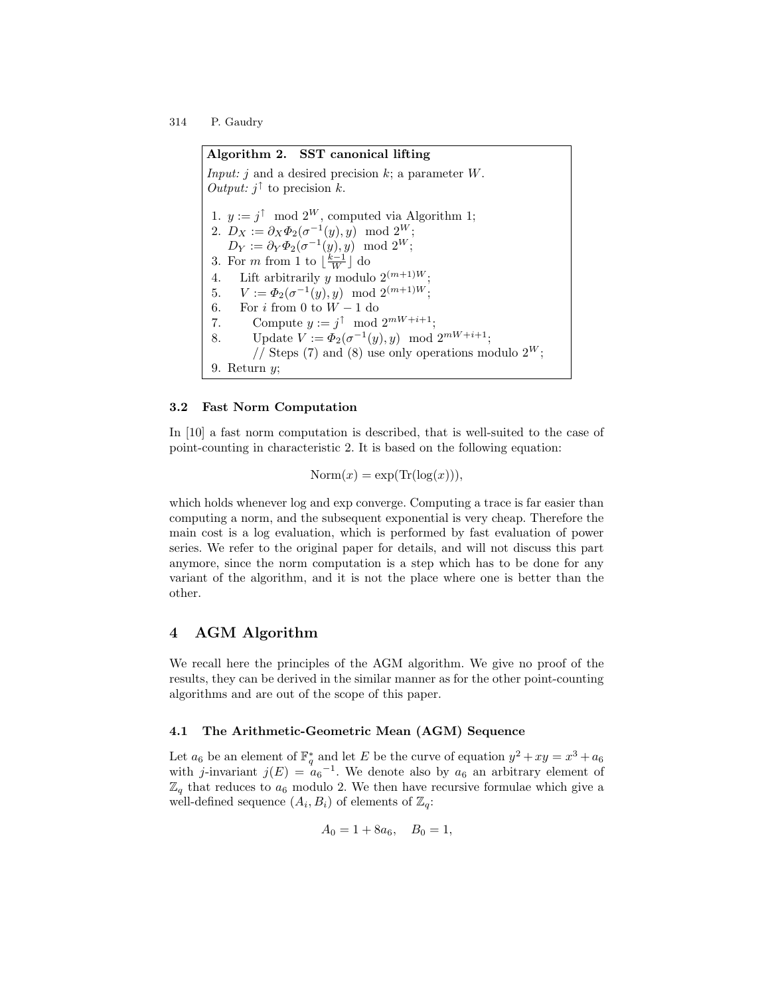Algorithm 2. SST canonical lifting *Input: j* and a desired precision  $k$ ; a parameter  $W$ . *Output:*  $j^{\dagger}$  to precision k. 1.  $y := j^{\uparrow} \mod 2^W$ , computed via Algorithm 1; 2.  $D_X := \partial_X \Phi_2(\sigma^{-1}(y), y) \mod 2^W;$  $D_Y := \partial_Y \Phi_2(\sigma^{-1}(y), y) \mod 2^W;$ 3. For *m* from 1 to  $\lfloor \frac{k-1}{W} \rfloor$  do 4. Lift arbitrarily y modulo  $2^{(m+1)W}$ ; 5.  $V := \Phi_2(\sigma^{-1}(y), y) \mod 2^{(m+1)W};$ 6. For *i* from 0 to  $W - 1$  do<br>7. Compute  $y := j^{\uparrow} \mod$ 7. Compute  $y := j^{\uparrow} \mod 2^{mW+i+1};$ 8. Update  $V := \Phi_2(\sigma^{-1}(y), y) \mod 2^{mW + i + 1};$ // Steps (7) and (8) use only operations modulo  $2^W$ ; 9. Return  $y$ ;

### 3.2 Fast Norm Computation

In [10] a fast norm computation is described, that is well-suited to the case of point-counting in characteristic 2. It is based on the following equation:

$$
Norm(x) = exp(Tr(log(x))),
$$

which holds whenever log and exp converge. Computing a trace is far easier than computing a norm, and the subsequent exponential is very cheap. Therefore the main cost is a log evaluation, which is performed by fast evaluation of power series. We refer to the original paper for details, and will not discuss this part anymore, since the norm computation is a step which has to be done for any variant of the algorithm, and it is not the place where one is better than the other.

# 4 AGM Algorithm

We recall here the principles of the AGM algorithm. We give no proof of the results, they can be derived in the similar manner as for the other point-counting algorithms and are out of the scope of this paper.

## 4.1 The Arithmetic-Geometric Mean (AGM) Sequence

Let  $a_6$  be an element of  $\mathbb{F}_q^*$  and let E be the curve of equation  $y^2 + xy = x^3 + a_6$ with j-invariant  $j(E) = a_6^{-1}$ . We denote also by  $a_6$  an arbitrary element of  $\mathbb{Z}_q$  that reduces to  $a_6$  modulo 2. We then have recursive formulae which give a well-defined sequence  $(A_i, B_i)$  of elements of  $\mathbb{Z}_q$ :

$$
A_0 = 1 + 8a_6, \quad B_0 = 1,
$$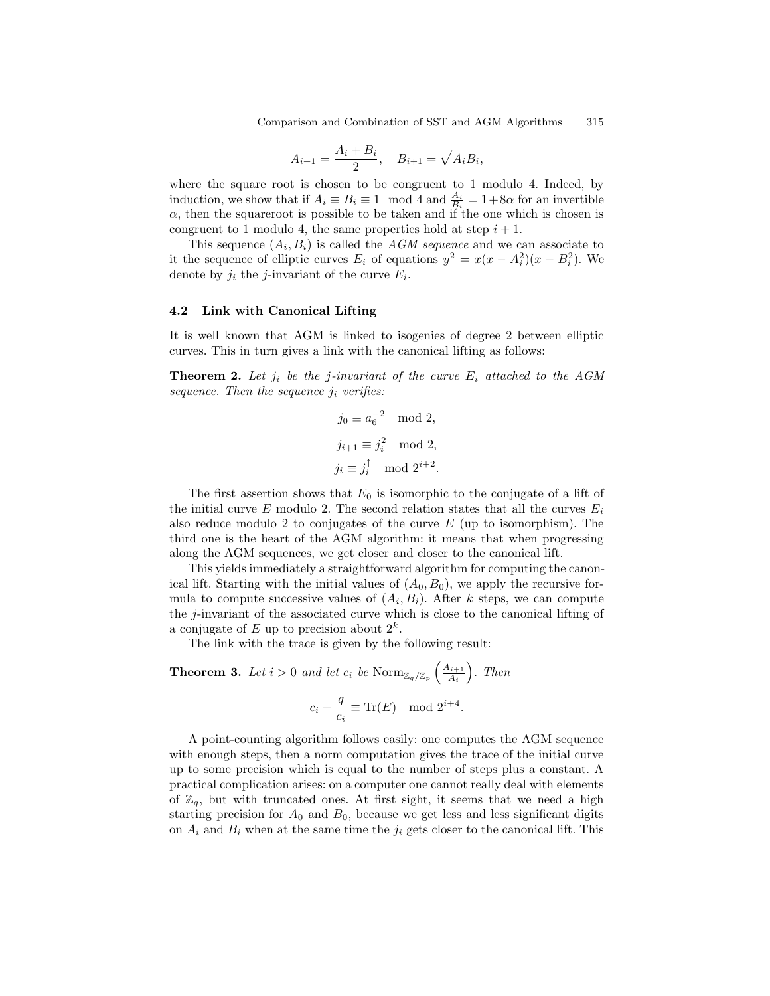$$
A_{i+1} = \frac{A_i + B_i}{2}, \quad B_{i+1} = \sqrt{A_i B_i},
$$

where the square root is chosen to be congruent to 1 modulo 4. Indeed, by induction, we show that if  $A_i \equiv B_i \equiv 1 \mod 4$  and  $\frac{A_i}{B_i} = 1+8\alpha$  for an invertible  $\alpha$ , then the squareroot is possible to be taken and if the one which is chosen is congruent to 1 modulo 4, the same properties hold at step  $i + 1$ .

This sequence  $(A_i, B_i)$  is called the *AGM sequence* and we can associate to it the sequence of elliptic curves  $E_i$  of equations  $y^2 = x(x - A_i^2)(x - B_i^2)$ . We denote by  $j_i$  the *j*-invariant of the curve  $E_i$ .

#### 4.2 Link with Canonical Lifting

It is well known that AGM is linked to isogenies of degree 2 between elliptic curves. This in turn gives a link with the canonical lifting as follows:

**Theorem 2.** Let  $j_i$  be the j-invariant of the curve  $E_i$  attached to the AGM sequence. Then the sequence  $j_i$  verifies:

$$
j_0 \equiv a_6^{-2} \mod 2,
$$
  

$$
j_{i+1} \equiv j_i^2 \mod 2,
$$
  

$$
j_i \equiv j_i^{\dagger} \mod 2^{i+2}.
$$

The first assertion shows that  $E_0$  is isomorphic to the conjugate of a lift of the initial curve  $E$  modulo 2. The second relation states that all the curves  $E_i$ also reduce modulo 2 to conjugates of the curve  $E$  (up to isomorphism). The third one is the heart of the AGM algorithm: it means that when progressing along the AGM sequences, we get closer and closer to the canonical lift.

This yields immediately a straightforward algorithm for computing the canonical lift. Starting with the initial values of  $(A_0, B_0)$ , we apply the recursive formula to compute successive values of  $(A_i, B_i)$ . After k steps, we can compute the  $j$ -invariant of the associated curve which is close to the canonical lifting of a conjugate of E up to precision about  $2^k$ .

The link with the trace is given by the following result:

**Theorem 3.** Let  $i > 0$  and let  $c_i$  be  $\text{Norm}_{\mathbb{Z}_q/\mathbb{Z}_p}\left(\frac{A_{i+1}}{A_i}\right)$  $\frac{\lambda_{i+1}}{A_i}$ . Then

$$
c_i + \frac{q}{c_i} \equiv \text{Tr}(E) \mod 2^{i+4}
$$

.

A point-counting algorithm follows easily: one computes the AGM sequence with enough steps, then a norm computation gives the trace of the initial curve up to some precision which is equal to the number of steps plus a constant. A practical complication arises: on a computer one cannot really deal with elements of  $\mathbb{Z}_q$ , but with truncated ones. At first sight, it seems that we need a high starting precision for  $A_0$  and  $B_0$ , because we get less and less significant digits on  $A_i$  and  $B_i$  when at the same time the  $j_i$  gets closer to the canonical lift. This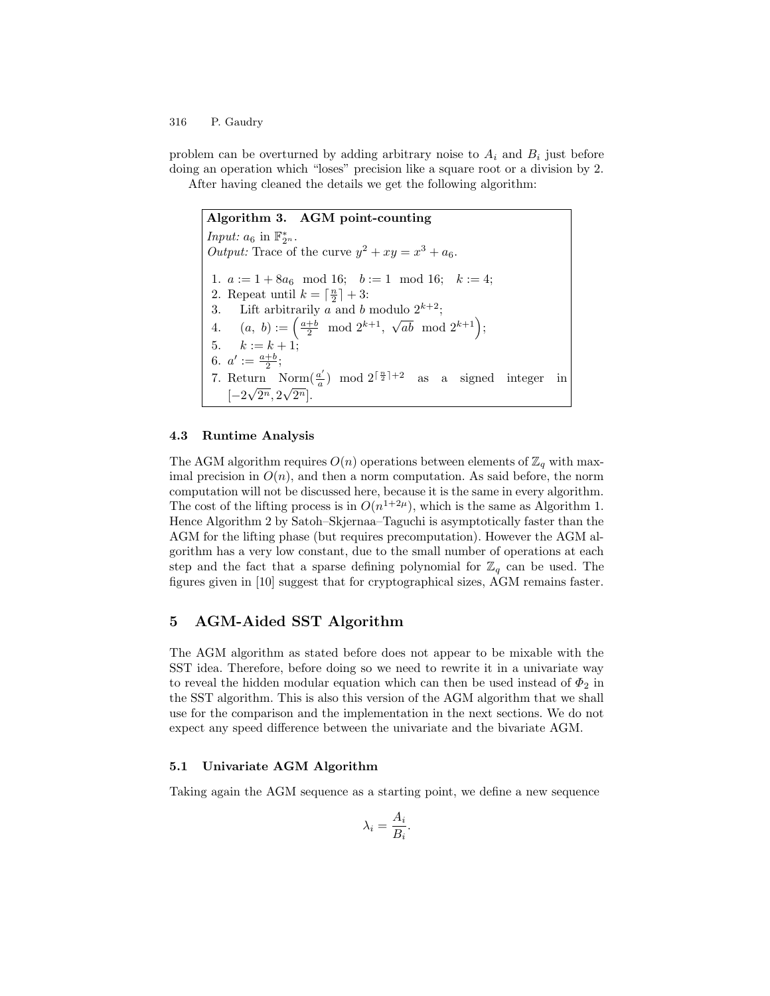problem can be overturned by adding arbitrary noise to  $A_i$  and  $B_i$  just before doing an operation which "loses" precision like a square root or a division by 2. After having cleaned the details we get the following algorithm:

Algorithm 3. AGM point-counting Input:  $a_6$  in  $\mathbb{F}_{2^n}^*$ . Output: Trace of the curve  $y^2 + xy = x^3 + a_6$ . 1.  $a := 1 + 8a_6 \mod 16$ ;  $b := 1 \mod 16$ ;  $k := 4$ ; 2. Repeat until  $k = \lceil \frac{n}{2} \rceil + 3$ : 2. Repeat until  $k = \lceil \frac{n}{2} \rceil + 3$ : 3. Lift arbitrarily a and b modulo  $2^{k+2}$ ; 4.  $(a, b) := \left(\frac{a+b}{2} \mod 2^{k+1}, \sqrt{ab} \mod 2^{k+1}\right);$ 5.  $k := k + 1;$ 6.  $a' := \frac{a+b}{2}$ ; 7. Return Norm $\left(\frac{a'}{a}\right)$  mod  $2^{\lceil \frac{n}{2} \rceil + 2}$  as a signed integer in  $\left[-2\sqrt{2^n}, 2\sqrt{2^n}\right]$ .

## 4.3 Runtime Analysis

The AGM algorithm requires  $O(n)$  operations between elements of  $\mathbb{Z}_q$  with maximal precision in  $O(n)$ , and then a norm computation. As said before, the norm computation will not be discussed here, because it is the same in every algorithm. The cost of the lifting process is in  $O(n^{1+2\mu})$ , which is the same as Algorithm 1. Hence Algorithm 2 by Satoh–Skjernaa–Taguchi is asymptotically faster than the AGM for the lifting phase (but requires precomputation). However the AGM algorithm has a very low constant, due to the small number of operations at each step and the fact that a sparse defining polynomial for  $\mathbb{Z}_q$  can be used. The figures given in [10] suggest that for cryptographical sizes, AGM remains faster.

# 5 AGM-Aided SST Algorithm

The AGM algorithm as stated before does not appear to be mixable with the SST idea. Therefore, before doing so we need to rewrite it in a univariate way to reveal the hidden modular equation which can then be used instead of  $\Phi_2$  in the SST algorithm. This is also this version of the AGM algorithm that we shall use for the comparison and the implementation in the next sections. We do not expect any speed difference between the univariate and the bivariate AGM.

#### 5.1 Univariate AGM Algorithm

Taking again the AGM sequence as a starting point, we define a new sequence

$$
\lambda_i = \frac{A_i}{B_i}.
$$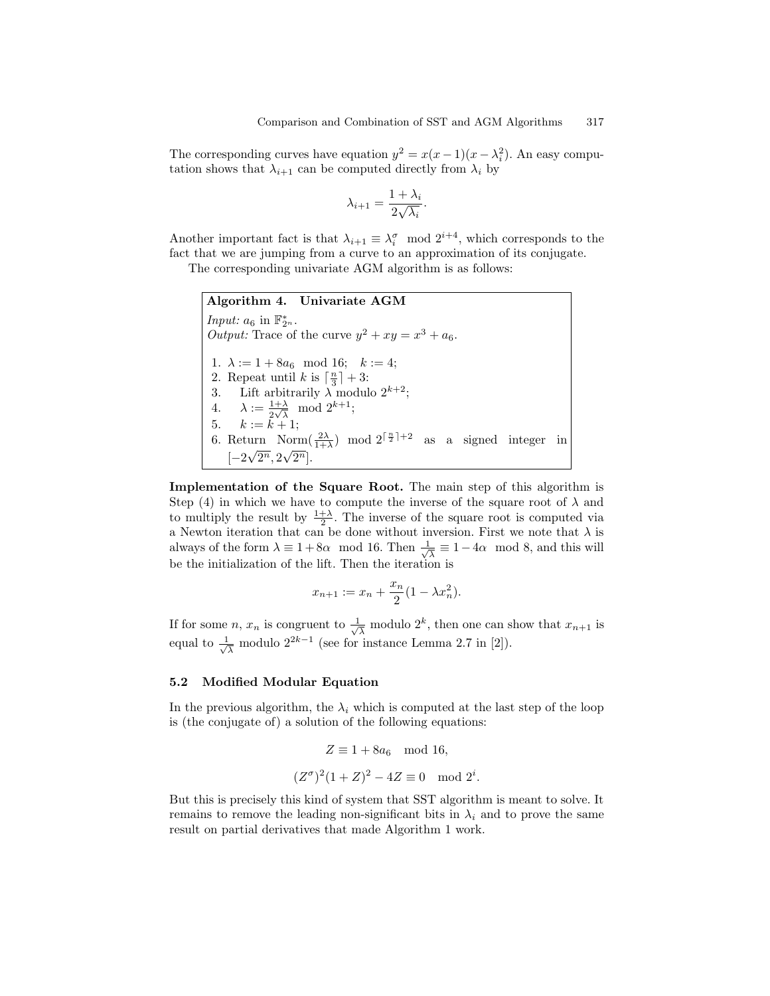The corresponding curves have equation  $y^2 = x(x-1)(x-\lambda_i^2)$ . An easy computation shows that  $\lambda_{i+1}$  can be computed directly from  $\lambda_i$  by

$$
\lambda_{i+1} = \frac{1 + \lambda_i}{2\sqrt{\lambda_i}}.
$$

Another important fact is that  $\lambda_{i+1} \equiv \lambda_i^{\sigma} \mod 2^{i+4}$ , which corresponds to the fact that we are jumping from a curve to an approximation of its conjugate.

The corresponding univariate AGM algorithm is as follows:

Algorithm 4. Univariate AGM Input:  $a_6$  in  $\mathbb{F}_{2^n}^*$ . Output: Trace of the curve  $y^2 + xy = x^3 + a_6$ . 1.  $\lambda := 1 + 8a_6 \mod 16; \quad k := 4;$ 2. Repeat until k is  $\left\lceil \frac{n}{3} \right\rceil + 3$ : 3. Lift arbitrarily  $\lambda$  modulo  $2^{k+2}$ ; 4.  $\lambda := \frac{1+\lambda}{2\sqrt{\lambda}} \mod 2^{k+1};$ 5.  $k := k + 1;$ 6. Return  $\mathrm{Norm}(\frac{2\lambda}{1+\lambda})$  mod  $2^{\lceil \frac{n}{2} \rceil+2}$  as a signed integer in  $[-2\sqrt{2^n}, 2\sqrt{2^n}].$ 

Implementation of the Square Root. The main step of this algorithm is Step (4) in which we have to compute the inverse of the square root of  $\lambda$  and to multiply the result by  $\frac{1+\lambda}{2}$ . The inverse of the square root is computed via a Newton iteration that can be done without inversion. First we note that  $\lambda$  is always of the form  $\lambda \equiv 1+8\alpha \mod 16$ . Then  $\frac{1}{\sqrt{2}}$  $\frac{1}{\lambda} \equiv 1-4\alpha \mod 8$ , and this will be the initialization of the lift. Then the iteration is

$$
x_{n+1} := x_n + \frac{x_n}{2}(1 - \lambda x_n^2).
$$

If for some *n*,  $x_n$  is congruent to  $\frac{1}{\sqrt{2}}$  $\frac{1}{\lambda}$  modulo  $2^k$ , then one can show that  $x_{n+1}$  is equal to  $\frac{1}{\sqrt{2}}$  $\frac{1}{\lambda}$  modulo  $2^{2k-1}$  (see for instance Lemma 2.7 in [2]).

#### 5.2 Modified Modular Equation

In the previous algorithm, the  $\lambda_i$  which is computed at the last step of the loop is (the conjugate of) a solution of the following equations:

$$
Z \equiv 1 + 8a_6 \mod 16,
$$
  

$$
(Z^{\sigma})^2 (1+Z)^2 - 4Z \equiv 0 \mod 2^i
$$

.

But this is precisely this kind of system that SST algorithm is meant to solve. It remains to remove the leading non-significant bits in  $\lambda_i$  and to prove the same result on partial derivatives that made Algorithm 1 work.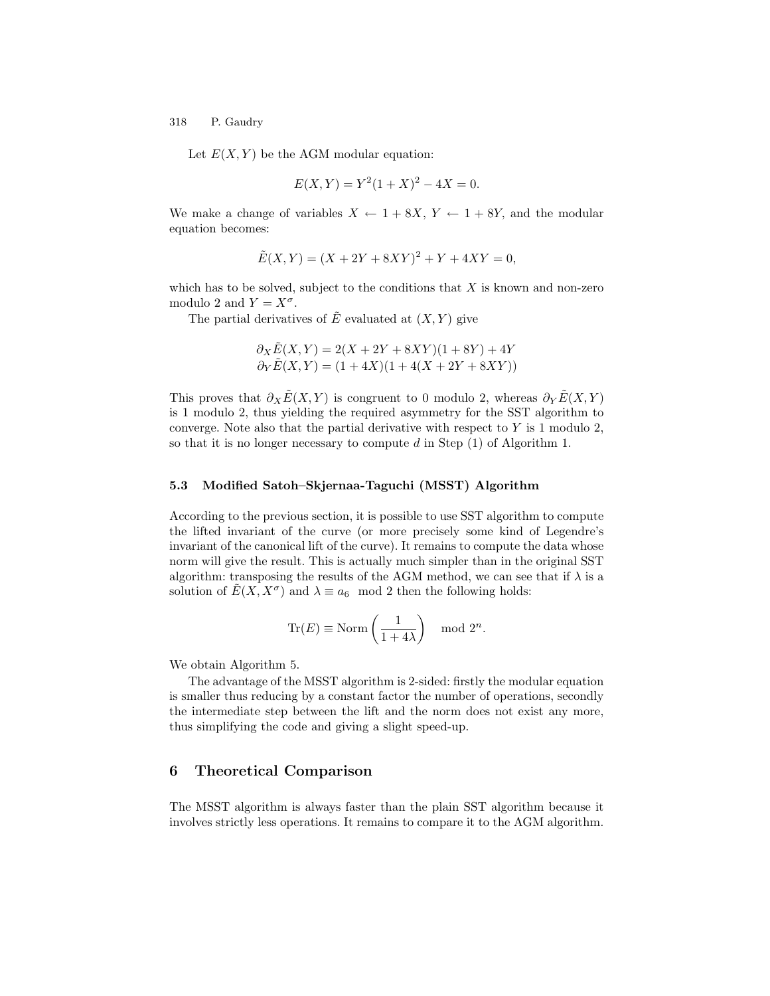Let  $E(X, Y)$  be the AGM modular equation:

$$
E(X,Y) = Y^2(1+X)^2 - 4X = 0.
$$

We make a change of variables  $X \leftarrow 1 + 8X, Y \leftarrow 1 + 8Y$ , and the modular equation becomes:

$$
\tilde{E}(X,Y) = (X + 2Y + 8XY)^2 + Y + 4XY = 0,
$$

which has to be solved, subject to the conditions that  $X$  is known and non-zero modulo 2 and  $Y = X^{\sigma}$ .

The partial derivatives of  $\tilde{E}$  evaluated at  $(X, Y)$  give

$$
\begin{array}{c} \partial_X \tilde{E}(X,Y) = 2(X+2Y+8XY)(1+8Y)+4Y \\ \partial_Y \tilde{E}(X,Y) = (1+4X)(1+4(X+2Y+8XY)) \end{array}
$$

This proves that  $\partial_X \tilde{E}(X, Y)$  is congruent to 0 modulo 2, whereas  $\partial_Y \tilde{E}(X, Y)$ is 1 modulo 2, thus yielding the required asymmetry for the SST algorithm to converge. Note also that the partial derivative with respect to  $Y$  is 1 modulo 2, so that it is no longer necessary to compute  $d$  in Step  $(1)$  of Algorithm 1.

#### 5.3 Modified Satoh–Skjernaa-Taguchi (MSST) Algorithm

According to the previous section, it is possible to use SST algorithm to compute the lifted invariant of the curve (or more precisely some kind of Legendre's invariant of the canonical lift of the curve). It remains to compute the data whose norm will give the result. This is actually much simpler than in the original SST algorithm: transposing the results of the AGM method, we can see that if  $\lambda$  is a solution of  $\tilde{E}(X, X^{\sigma})$  and  $\lambda \equiv a_6 \mod 2$  then the following holds:

$$
\operatorname{Tr}(E) \equiv \operatorname{Norm}\left(\frac{1}{1+4\lambda}\right) \mod 2^n.
$$

We obtain Algorithm 5.

The advantage of the MSST algorithm is 2-sided: firstly the modular equation is smaller thus reducing by a constant factor the number of operations, secondly the intermediate step between the lift and the norm does not exist any more, thus simplifying the code and giving a slight speed-up.

# 6 Theoretical Comparison

The MSST algorithm is always faster than the plain SST algorithm because it involves strictly less operations. It remains to compare it to the AGM algorithm.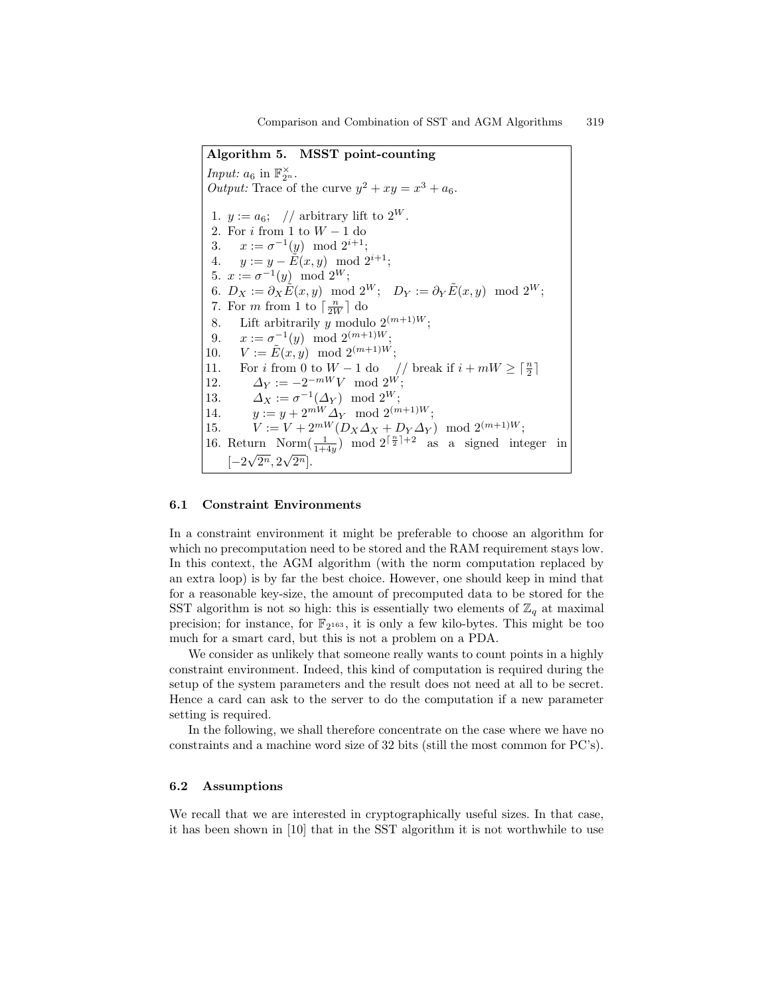Algorithm 5. MSST point-counting Input:  $a_6$  in  $\mathbb{F}_{2^n}^{\times}$ . Output: Trace of the curve  $y^2 + xy = x^3 + a_6$ . 1.  $y := a_6$ ; // arbitrary lift to  $2^W$ . 2. For  $i$  from 1 to  $W-1$  do 3.  $x := \sigma^{-1}(y) \mod 2^{i+1};$ 4.  $y := y - \tilde{E}(x, y) \mod 2^{i+1};$ 5.  $x := \sigma^{-1}(y) \mod 2^W;$ 6.  $D_X := \partial_X \tilde{E}(x, y) \mod 2^W; \quad D_Y := \partial_Y \tilde{E}(x, y) \mod 2^W;$ 7. For *m* from 1 to  $\lceil \frac{n}{2W} \rceil$  do 8. Lift arbitrarily y modulo  $2^{(m+1)W}$ ; 9.  $x := \sigma^{-1}(y) \mod 2^{(m+1)W};$ 10.  $V := \tilde{E}(x, y) \mod 2^{(m+1)W};$ 11. For *i* from 0 to  $W - 1$  do // break if  $i + mW \geq \lceil \frac{n}{2} \rceil$ 12.  $\Delta_Y := -2^{-mW}V \mod 2^W;$ 13.  $\Delta_X := \sigma^{-1}(\Delta_Y) \mod 2^W;$ 14.  $y := y + 2^{mW} \Delta_Y \mod 2^{(m+1)W};$ 15.  $V := V + 2^{mW} (D_X \Delta_X + D_Y \Delta_Y) \mod 2^{(m+1)W};$ 16. Return Norm $\left(\frac{1}{1+4y}\right)$  mod  $2^{\lceil \frac{n}{2} \rceil+2}$  as a signed integer in  $[-2\sqrt{2^n}, 2\sqrt{2^n}].$ 

### 6.1 Constraint Environments

In a constraint environment it might be preferable to choose an algorithm for which no precomputation need to be stored and the RAM requirement stays low. In this context, the AGM algorithm (with the norm computation replaced by an extra loop) is by far the best choice. However, one should keep in mind that for a reasonable key-size, the amount of precomputed data to be stored for the SST algorithm is not so high: this is essentially two elements of  $\mathbb{Z}_q$  at maximal precision; for instance, for  $\mathbb{F}_{2^{163}}$ , it is only a few kilo-bytes. This might be too much for a smart card, but this is not a problem on a PDA.

We consider as unlikely that someone really wants to count points in a highly constraint environment. Indeed, this kind of computation is required during the setup of the system parameters and the result does not need at all to be secret. Hence a card can ask to the server to do the computation if a new parameter setting is required.

In the following, we shall therefore concentrate on the case where we have no constraints and a machine word size of 32 bits (still the most common for PC's).

### 6.2 Assumptions

We recall that we are interested in cryptographically useful sizes. In that case, it has been shown in [10] that in the SST algorithm it is not worthwhile to use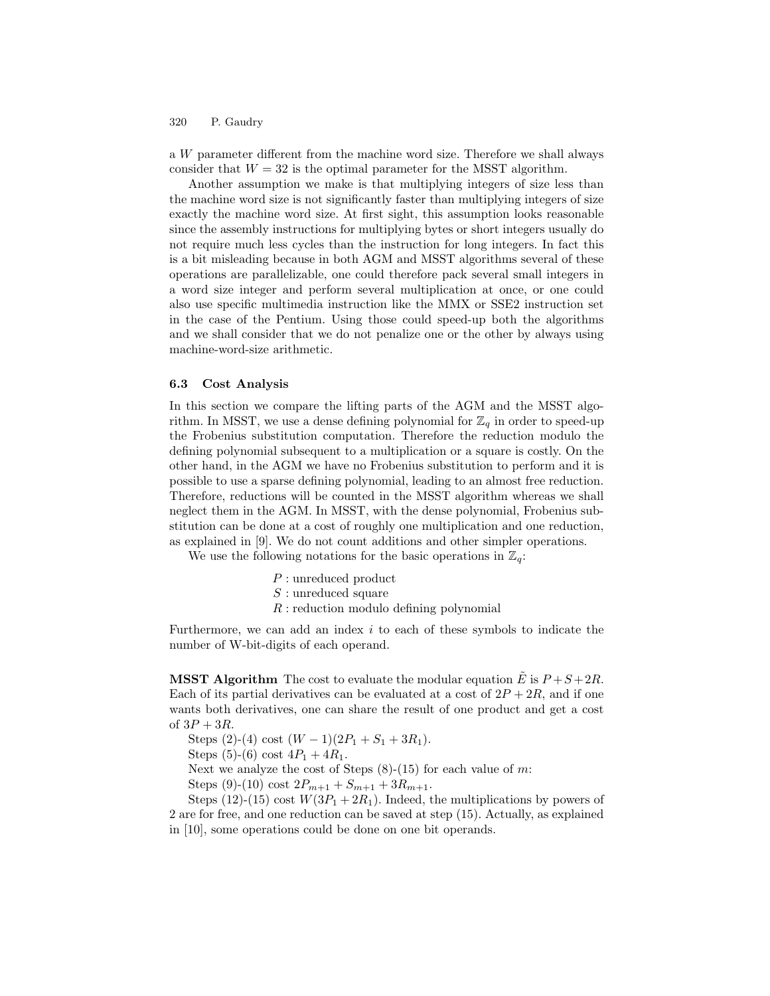a W parameter different from the machine word size. Therefore we shall always consider that  $W = 32$  is the optimal parameter for the MSST algorithm.

Another assumption we make is that multiplying integers of size less than the machine word size is not significantly faster than multiplying integers of size exactly the machine word size. At first sight, this assumption looks reasonable since the assembly instructions for multiplying bytes or short integers usually do not require much less cycles than the instruction for long integers. In fact this is a bit misleading because in both AGM and MSST algorithms several of these operations are parallelizable, one could therefore pack several small integers in a word size integer and perform several multiplication at once, or one could also use specific multimedia instruction like the MMX or SSE2 instruction set in the case of the Pentium. Using those could speed-up both the algorithms and we shall consider that we do not penalize one or the other by always using machine-word-size arithmetic.

#### 6.3 Cost Analysis

In this section we compare the lifting parts of the AGM and the MSST algorithm. In MSST, we use a dense defining polynomial for  $\mathbb{Z}_q$  in order to speed-up the Frobenius substitution computation. Therefore the reduction modulo the defining polynomial subsequent to a multiplication or a square is costly. On the other hand, in the AGM we have no Frobenius substitution to perform and it is possible to use a sparse defining polynomial, leading to an almost free reduction. Therefore, reductions will be counted in the MSST algorithm whereas we shall neglect them in the AGM. In MSST, with the dense polynomial, Frobenius substitution can be done at a cost of roughly one multiplication and one reduction, as explained in [9]. We do not count additions and other simpler operations.

We use the following notations for the basic operations in  $\mathbb{Z}_q$ :

- P : unreduced product
- S : unreduced square
- $R$ : reduction modulo defining polynomial

Furthermore, we can add an index  $i$  to each of these symbols to indicate the number of W-bit-digits of each operand.

**MSST Algorithm** The cost to evaluate the modular equation  $\tilde{E}$  is  $P + S + 2R$ . Each of its partial derivatives can be evaluated at a cost of  $2P + 2R$ , and if one wants both derivatives, one can share the result of one product and get a cost of  $3P + 3R$ .

Steps  $(2)-(4)$  cost  $(W - 1)(2P_1 + S_1 + 3R_1)$ .

Steps (5)-(6) cost  $4P_1 + 4R_1$ .

Next we analyze the cost of Steps  $(8)-(15)$  for each value of m:

Steps (9)-(10) cost  $2P_{m+1} + S_{m+1} + 3R_{m+1}$ .

Steps (12)-(15) cost  $W(3P_1 + 2R_1)$ . Indeed, the multiplications by powers of 2 are for free, and one reduction can be saved at step (15). Actually, as explained in [10], some operations could be done on one bit operands.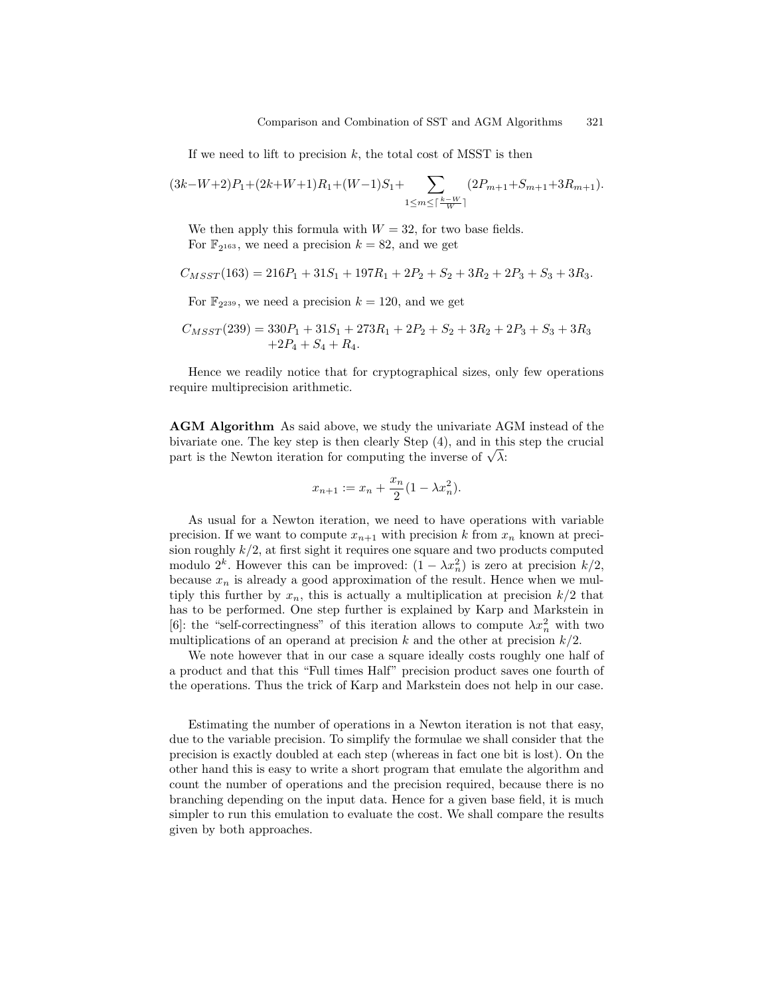If we need to lift to precision  $k$ , the total cost of MSST is then

$$
(3k-W+2)P_1+(2k+W+1)R_1+(W-1)S_1+\sum_{1\leq m\leq \lceil\frac{k-W}{W}\rceil}(2P_{m+1}+S_{m+1}+3R_{m+1}).
$$

We then apply this formula with  $W = 32$ , for two base fields. For  $\mathbb{F}_{2^{163}}$ , we need a precision  $k = 82$ , and we get

$$
C_{M SST}(163) = 216P_1 + 31S_1 + 197R_1 + 2P_2 + S_2 + 3R_2 + 2P_3 + S_3 + 3R_3.
$$

For  $\mathbb{F}_{2^{239}}$ , we need a precision  $k = 120$ , and we get

$$
C_{MSST}(239) = 330P_1 + 31S_1 + 273R_1 + 2P_2 + S_2 + 3R_2 + 2P_3 + S_3 + 3R_3
$$
  
+2P<sub>4</sub> + S<sub>4</sub> + R<sub>4</sub>.

Hence we readily notice that for cryptographical sizes, only few operations require multiprecision arithmetic.

AGM Algorithm As said above, we study the univariate AGM instead of the bivariate one. The key step is then clearly Step (4), and in this step the crucial part is the Newton iteration for computing the inverse of  $\sqrt{\lambda}$ :

$$
x_{n+1} := x_n + \frac{x_n}{2}(1 - \lambda x_n^2).
$$

As usual for a Newton iteration, we need to have operations with variable precision. If we want to compute  $x_{n+1}$  with precision k from  $x_n$  known at precision roughly  $k/2$ , at first sight it requires one square and two products computed modulo  $2^k$ . However this can be improved:  $(1 - \lambda x_n^2)$  is zero at precision  $k/2$ , because  $x_n$  is already a good approximation of the result. Hence when we multiply this further by  $x_n$ , this is actually a multiplication at precision  $k/2$  that has to be performed. One step further is explained by Karp and Markstein in [6]: the "self-correctingness" of this iteration allows to compute  $\lambda x_n^2$  with two multiplications of an operand at precision k and the other at precision  $k/2$ .

We note however that in our case a square ideally costs roughly one half of a product and that this "Full times Half" precision product saves one fourth of the operations. Thus the trick of Karp and Markstein does not help in our case.

Estimating the number of operations in a Newton iteration is not that easy, due to the variable precision. To simplify the formulae we shall consider that the precision is exactly doubled at each step (whereas in fact one bit is lost). On the other hand this is easy to write a short program that emulate the algorithm and count the number of operations and the precision required, because there is no branching depending on the input data. Hence for a given base field, it is much simpler to run this emulation to evaluate the cost. We shall compare the results given by both approaches.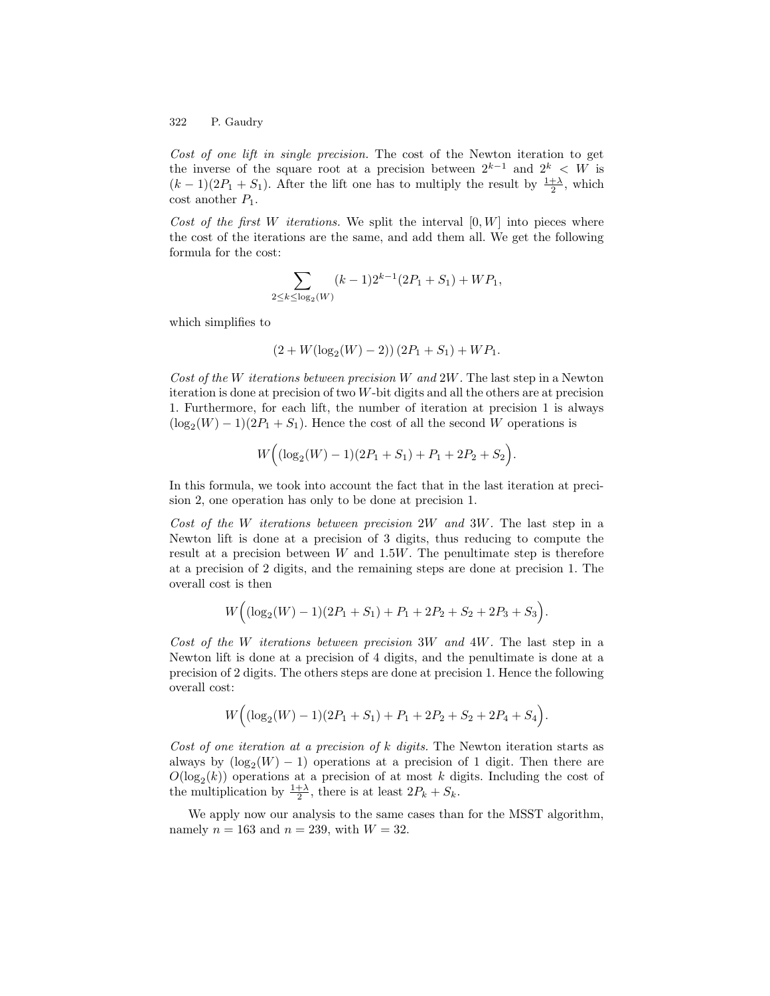Cost of one lift in single precision. The cost of the Newton iteration to get the inverse of the square root at a precision between  $2^{k-1}$  and  $2^k < W$  is  $(k-1)(2P_1 + S_1)$ . After the lift one has to multiply the result by  $\frac{1+\lambda}{2}$ , which  $\text{cost}$  another  $P_1$ .

Cost of the first W iterations. We split the interval  $[0, W]$  into pieces where the cost of the iterations are the same, and add them all. We get the following formula for the cost:

$$
\sum_{\leq k \leq \log_2(W)} (k-1)2^{k-1}(2P_1 + S_1) + WP_1,
$$

which simplifies to

 $2<sub>i</sub>$ 

$$
(2 + W(\log_2(W) - 2))(2P_1 + S_1) + WP_1.
$$

Cost of the W iterations between precision W and  $2W$ . The last step in a Newton iteration is done at precision of two W-bit digits and all the others are at precision 1. Furthermore, for each lift, the number of iteration at precision 1 is always  $(\log_2(W) - 1)(2P_1 + S_1)$ . Hence the cost of all the second W operations is

$$
W\Big((\log_2(W)-1)(2P_1+S_1)+P_1+2P_2+S_2\Big).
$$

In this formula, we took into account the fact that in the last iteration at precision 2, one operation has only to be done at precision 1.

Cost of the W iterations between precision 2W and 3W. The last step in a Newton lift is done at a precision of 3 digits, thus reducing to compute the result at a precision between  $W$  and  $1.5W$ . The penultimate step is therefore at a precision of 2 digits, and the remaining steps are done at precision 1. The overall cost is then

$$
W\Big((\log_2(W)-1)(2P_1+S_1)+P_1+2P_2+S_2+2P_3+S_3\Big).
$$

Cost of the W iterations between precision 3W and 4W. The last step in a Newton lift is done at a precision of 4 digits, and the penultimate is done at a precision of 2 digits. The others steps are done at precision 1. Hence the following overall cost:

$$
W\Big((\log_2(W)-1)(2P_1+S_1)+P_1+2P_2+S_2+2P_4+S_4\Big).
$$

Cost of one iteration at a precision of  $k$  digits. The Newton iteration starts as always by  $(\log_2(W) - 1)$  operations at a precision of 1 digit. Then there are  $O(\log_2(k))$  operations at a precision of at most k digits. Including the cost of the multiplication by  $\frac{1+\lambda}{2}$ , there is at least  $2P_k + S_k$ .

We apply now our analysis to the same cases than for the MSST algorithm, namely  $n = 163$  and  $n = 239$ , with  $W = 32$ .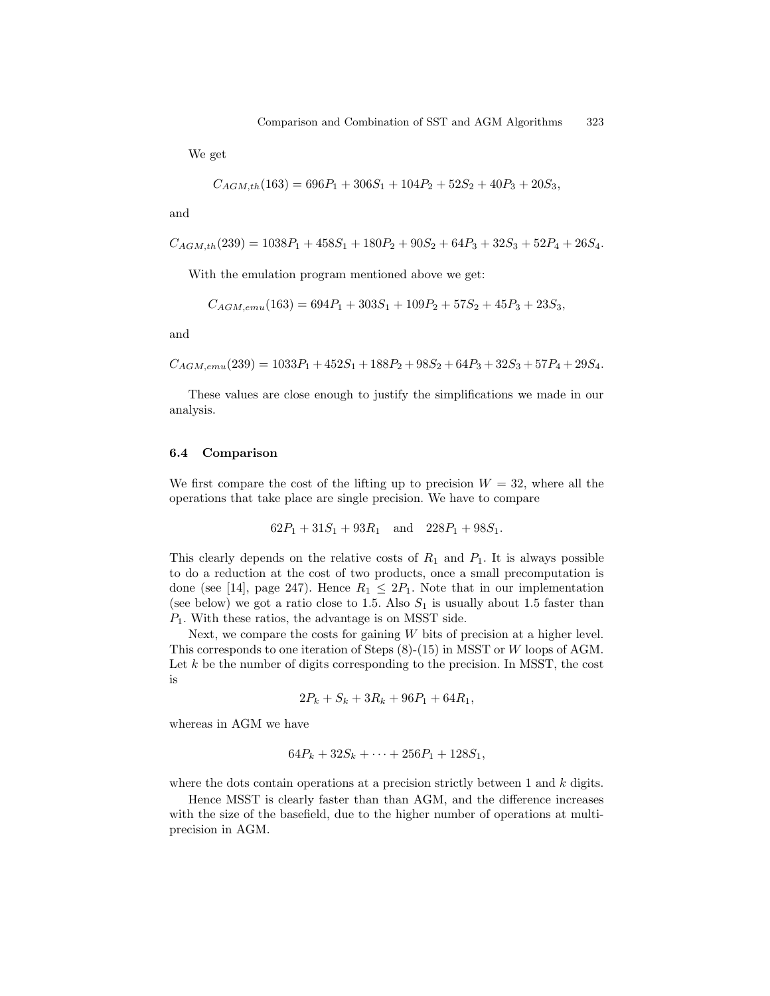We get

$$
C_{AGM,th}(163) = 696P_1 + 306S_1 + 104P_2 + 52S_2 + 40P_3 + 20S_3,
$$

and

$$
C_{AGM,th}(239) = 1038P_1 + 458S_1 + 180P_2 + 90S_2 + 64P_3 + 32S_3 + 52P_4 + 26S_4.
$$

With the emulation program mentioned above we get:

$$
C_{AGM,emu}(163) = 694P_1 + 303S_1 + 109P_2 + 57S_2 + 45P_3 + 23S_3,
$$

and

$$
C_{AGM,emu}(239) = 1033P_1 + 452S_1 + 188P_2 + 98S_2 + 64P_3 + 32S_3 + 57P_4 + 29S_4.
$$

These values are close enough to justify the simplifications we made in our analysis.

### 6.4 Comparison

We first compare the cost of the lifting up to precision  $W = 32$ , where all the operations that take place are single precision. We have to compare

$$
62P_1 + 31S_1 + 93R_1 \quad \text{and} \quad 228P_1 + 98S_1.
$$

This clearly depends on the relative costs of  $R_1$  and  $P_1$ . It is always possible to do a reduction at the cost of two products, once a small precomputation is done (see [14], page 247). Hence  $R_1 \leq 2P_1$ . Note that in our implementation (see below) we got a ratio close to 1.5. Also  $S_1$  is usually about 1.5 faster than  $P_1$ . With these ratios, the advantage is on MSST side.

Next, we compare the costs for gaining  $W$  bits of precision at a higher level. This corresponds to one iteration of Steps (8)-(15) in MSST or W loops of AGM. Let  $k$  be the number of digits corresponding to the precision. In MSST, the cost is

$$
2P_k + S_k + 3R_k + 96P_1 + 64R_1,
$$

whereas in AGM we have

$$
64P_k + 32S_k + \cdots + 256P_1 + 128S_1,
$$

where the dots contain operations at a precision strictly between  $1$  and  $k$  digits.

Hence MSST is clearly faster than than AGM, and the difference increases with the size of the basefield, due to the higher number of operations at multiprecision in AGM.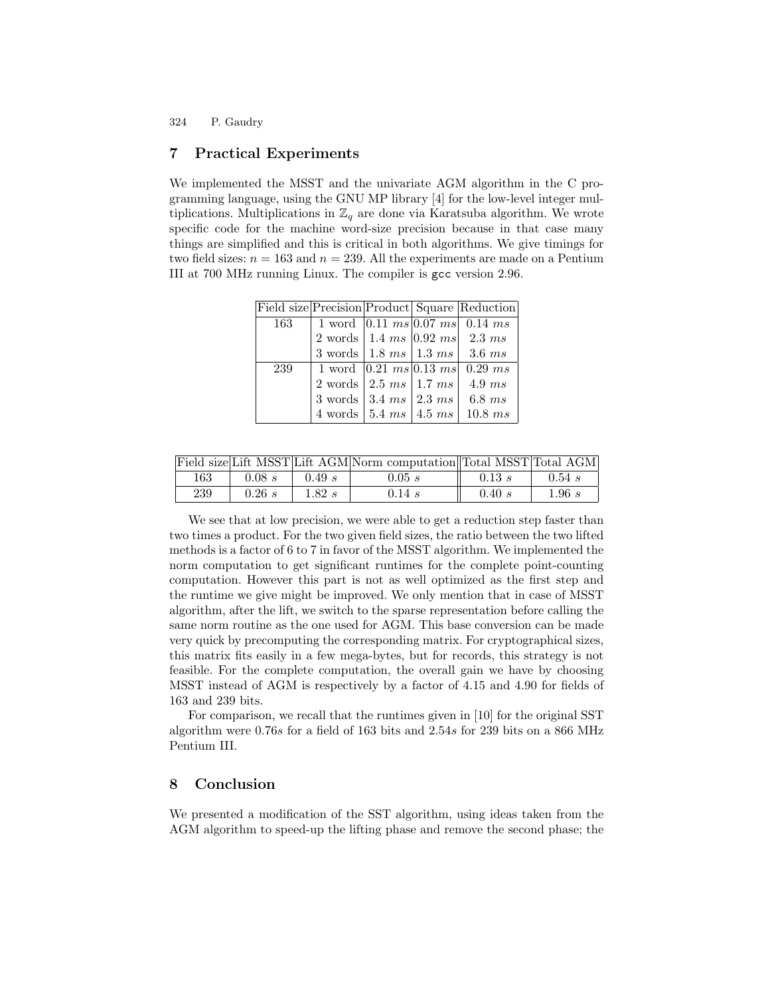## 7 Practical Experiments

We implemented the MSST and the univariate AGM algorithm in the C programming language, using the GNU MP library [4] for the low-level integer multiplications. Multiplications in  $\mathbb{Z}_q$  are done via Karatsuba algorithm. We wrote specific code for the machine word-size precision because in that case many things are simplified and this is critical in both algorithms. We give timings for two field sizes:  $n = 163$  and  $n = 239$ . All the experiments are made on a Pentium III at 700 MHz running Linux. The compiler is gcc version 2.96.

|     |                                                           |  | Field size Precision Product Square Reduction                          |
|-----|-----------------------------------------------------------|--|------------------------------------------------------------------------|
| 163 |                                                           |  | 1 word $\boxed{0.11 \ ms}$ $\boxed{0.07 \ ms}$   0.14 ms               |
|     |                                                           |  | 2 words   1.4 ms $ 0.92 \text{ ms} $ 2.3 ms                            |
|     |                                                           |  | 3 words   1.8 ms   1.3 ms   3.6 ms                                     |
| 239 | 1 word $ 0.21 \; ms   0.13 \; ms   0.29 \; ms$            |  |                                                                        |
|     | $2 \text{ words}$   $2.5 \text{ ms}$   $1.7 \text{ ms}$   |  | 4.9ms                                                                  |
|     | 3 words $\vert 3.4 \; ms \vert 2.3 \; ms \vert 6.8 \; ms$ |  |                                                                        |
|     |                                                           |  | 4 words $\mid 5.4 \text{ ms} \mid 4.5 \text{ ms} \mid 10.8 \text{ ms}$ |

|     |        |        | Field size Lift MSST Lift AGM Norm computation Total MSST Total AGM |        |        |
|-----|--------|--------|---------------------------------------------------------------------|--------|--------|
| 163 | 0.08 s | 0.49 s | 0.05 s                                                              | 0.13 s | 0.54 s |
| 239 | 0.26 s | 1.82 s | 0.14 s                                                              | 0.40 s | 1.96s  |

We see that at low precision, we were able to get a reduction step faster than two times a product. For the two given field sizes, the ratio between the two lifted methods is a factor of 6 to 7 in favor of the MSST algorithm. We implemented the norm computation to get significant runtimes for the complete point-counting computation. However this part is not as well optimized as the first step and the runtime we give might be improved. We only mention that in case of MSST algorithm, after the lift, we switch to the sparse representation before calling the same norm routine as the one used for AGM. This base conversion can be made very quick by precomputing the corresponding matrix. For cryptographical sizes, this matrix fits easily in a few mega-bytes, but for records, this strategy is not feasible. For the complete computation, the overall gain we have by choosing MSST instead of AGM is respectively by a factor of 4.15 and 4.90 for fields of 163 and 239 bits.

For comparison, we recall that the runtimes given in [10] for the original SST algorithm were 0.76s for a field of 163 bits and 2.54s for 239 bits on a 866 MHz Pentium III.

# 8 Conclusion

We presented a modification of the SST algorithm, using ideas taken from the AGM algorithm to speed-up the lifting phase and remove the second phase; the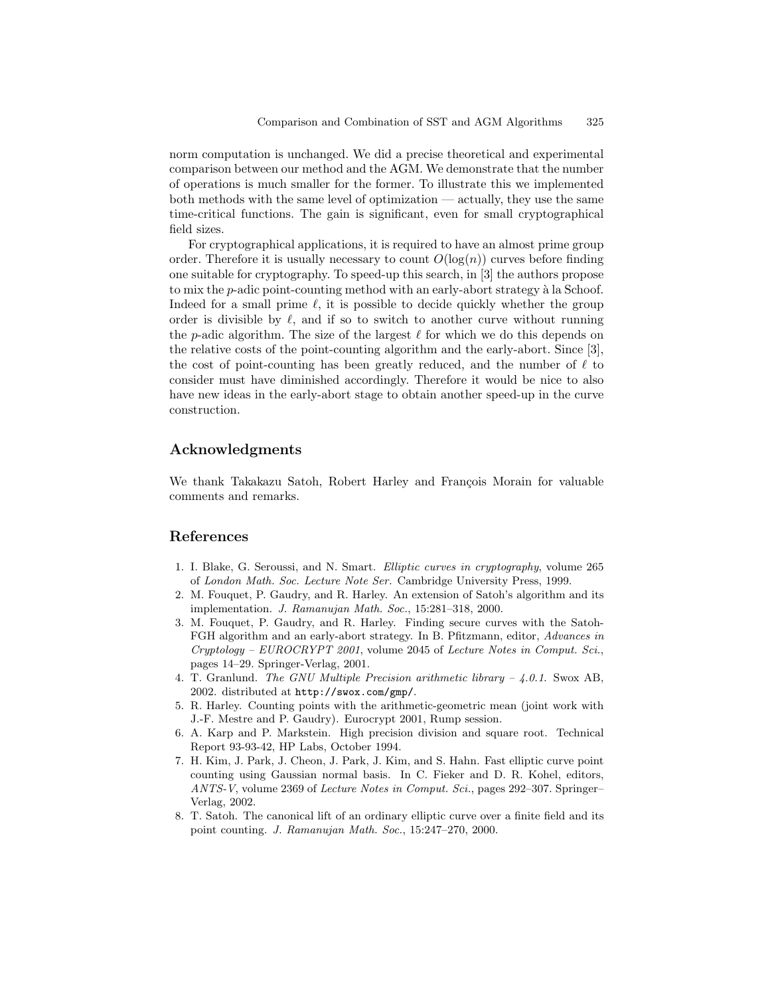norm computation is unchanged. We did a precise theoretical and experimental comparison between our method and the AGM. We demonstrate that the number of operations is much smaller for the former. To illustrate this we implemented both methods with the same level of optimization — actually, they use the same time-critical functions. The gain is significant, even for small cryptographical field sizes.

For cryptographical applications, it is required to have an almost prime group order. Therefore it is usually necessary to count  $O(\log(n))$  curves before finding one suitable for cryptography. To speed-up this search, in [3] the authors propose to mix the  $p$ -adic point-counting method with an early-abort strategy à la Schoof. Indeed for a small prime  $\ell$ , it is possible to decide quickly whether the group order is divisible by  $\ell$ , and if so to switch to another curve without running the p-adic algorithm. The size of the largest  $\ell$  for which we do this depends on the relative costs of the point-counting algorithm and the early-abort. Since [3], the cost of point-counting has been greatly reduced, and the number of  $\ell$  to consider must have diminished accordingly. Therefore it would be nice to also have new ideas in the early-abort stage to obtain another speed-up in the curve construction.

# Acknowledgments

We thank Takakazu Satoh, Robert Harley and François Morain for valuable comments and remarks.

# References

- 1. I. Blake, G. Seroussi, and N. Smart. Elliptic curves in cryptography, volume 265 of London Math. Soc. Lecture Note Ser. Cambridge University Press, 1999.
- 2. M. Fouquet, P. Gaudry, and R. Harley. An extension of Satoh's algorithm and its implementation. J. Ramanujan Math. Soc., 15:281–318, 2000.
- 3. M. Fouquet, P. Gaudry, and R. Harley. Finding secure curves with the Satoh-FGH algorithm and an early-abort strategy. In B. Pfitzmann, editor, Advances in Cryptology – EUROCRYPT 2001, volume 2045 of Lecture Notes in Comput. Sci., pages 14–29. Springer-Verlag, 2001.
- 4. T. Granlund. The GNU Multiple Precision arithmetic library 4.0.1. Swox AB, 2002. distributed at http://swox.com/gmp/.
- 5. R. Harley. Counting points with the arithmetic-geometric mean (joint work with J.-F. Mestre and P. Gaudry). Eurocrypt 2001, Rump session.
- 6. A. Karp and P. Markstein. High precision division and square root. Technical Report 93-93-42, HP Labs, October 1994.
- 7. H. Kim, J. Park, J. Cheon, J. Park, J. Kim, and S. Hahn. Fast elliptic curve point counting using Gaussian normal basis. In C. Fieker and D. R. Kohel, editors, ANTS-V, volume 2369 of Lecture Notes in Comput. Sci., pages 292–307. Springer– Verlag, 2002.
- 8. T. Satoh. The canonical lift of an ordinary elliptic curve over a finite field and its point counting. J. Ramanujan Math. Soc., 15:247–270, 2000.